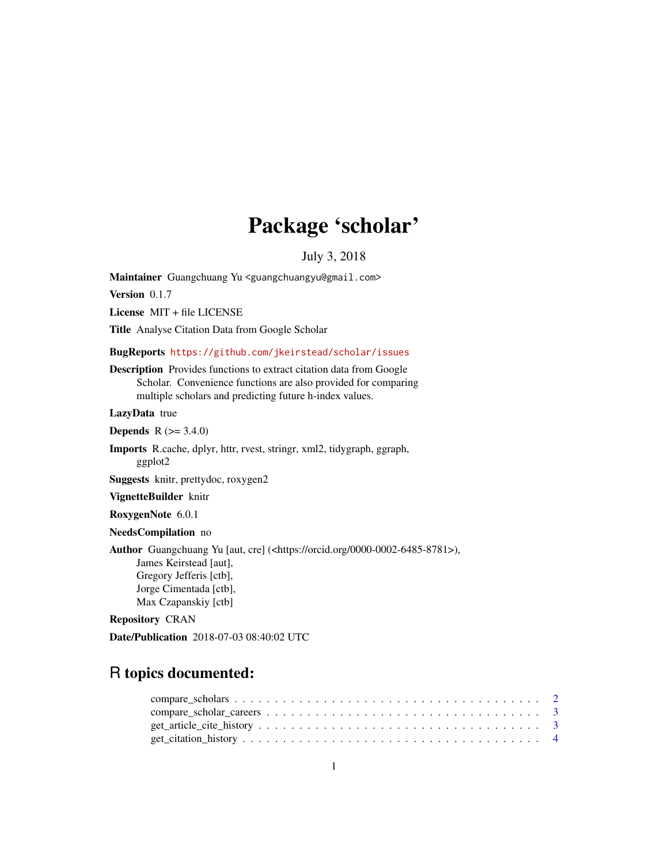## Package 'scholar'

July 3, 2018

Maintainer Guangchuang Yu <guangchuangyu@gmail.com>

Version 0.1.7

License MIT + file LICENSE

Title Analyse Citation Data from Google Scholar

#### BugReports <https://github.com/jkeirstead/scholar/issues>

Description Provides functions to extract citation data from Google Scholar. Convenience functions are also provided for comparing multiple scholars and predicting future h-index values.

LazyData true

**Depends** R  $(>= 3.4.0)$ 

Imports R.cache, dplyr, httr, rvest, stringr, xml2, tidygraph, ggraph, ggplot2

Suggests knitr, prettydoc, roxygen2

VignetteBuilder knitr

RoxygenNote 6.0.1

NeedsCompilation no

Author Guangchuang Yu [aut, cre] (<https://orcid.org/0000-0002-6485-8781>), James Keirstead [aut], Gregory Jefferis [ctb], Jorge Cimentada [ctb], Max Czapanskiy [ctb]

#### Repository CRAN

Date/Publication 2018-07-03 08:40:02 UTC

## R topics documented: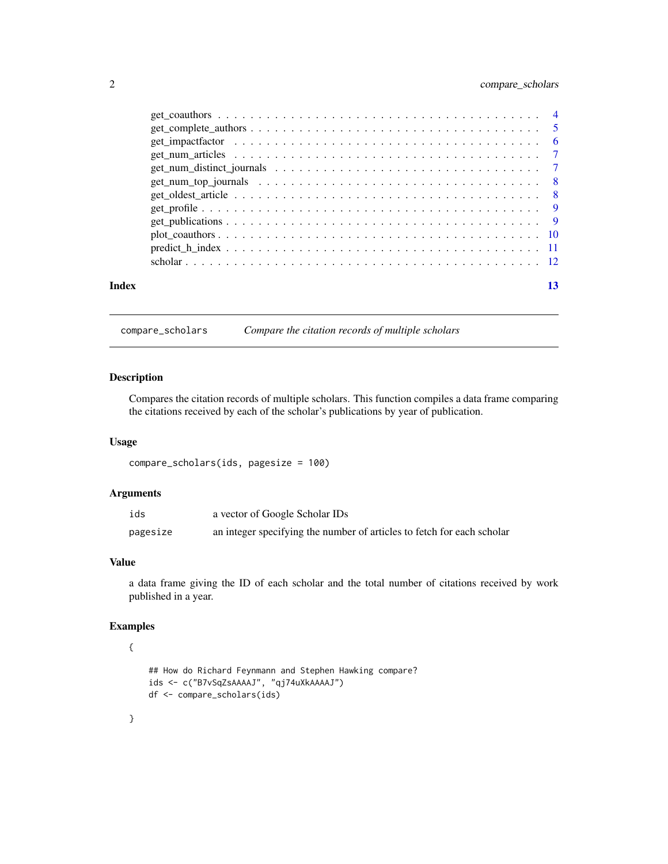#### <span id="page-1-0"></span>2 compare\_scholars

|       | $get\_complete\_authors \dots \dots \dots \dots \dots \dots \dots \dots \dots \dots \dots \dots \dots \dots \dots \dots \dots$ |    |
|-------|--------------------------------------------------------------------------------------------------------------------------------|----|
|       |                                                                                                                                |    |
|       |                                                                                                                                |    |
|       |                                                                                                                                |    |
|       |                                                                                                                                |    |
|       |                                                                                                                                |    |
|       |                                                                                                                                |    |
|       |                                                                                                                                |    |
|       |                                                                                                                                |    |
|       |                                                                                                                                |    |
|       |                                                                                                                                |    |
| Index |                                                                                                                                | 13 |
|       |                                                                                                                                |    |

### compare\_scholars *Compare the citation records of multiple scholars*

#### Description

Compares the citation records of multiple scholars. This function compiles a data frame comparing the citations received by each of the scholar's publications by year of publication.

#### Usage

```
compare_scholars(ids, pagesize = 100)
```
#### Arguments

| ids      | a vector of Google Scholar IDs                                         |
|----------|------------------------------------------------------------------------|
| pagesize | an integer specifying the number of articles to fetch for each scholar |

#### Value

a data frame giving the ID of each scholar and the total number of citations received by work published in a year.

#### Examples

#### {

```
## How do Richard Feynmann and Stephen Hawking compare?
ids <- c("B7vSqZsAAAAJ", "qj74uXkAAAAJ")
df <- compare_scholars(ids)
```
}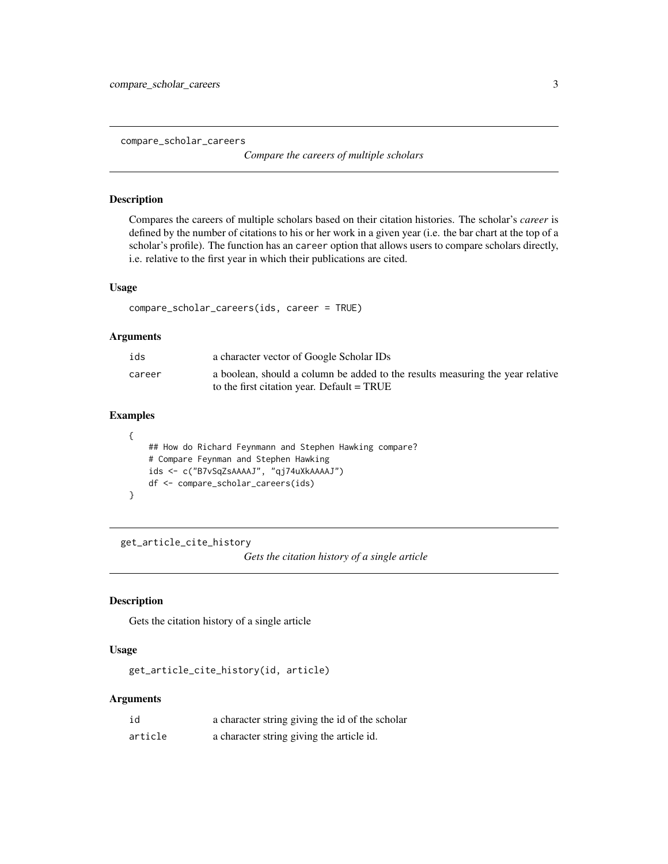<span id="page-2-0"></span>compare\_scholar\_careers

*Compare the careers of multiple scholars*

#### Description

Compares the careers of multiple scholars based on their citation histories. The scholar's *career* is defined by the number of citations to his or her work in a given year (i.e. the bar chart at the top of a scholar's profile). The function has an career option that allows users to compare scholars directly, i.e. relative to the first year in which their publications are cited.

#### Usage

```
compare_scholar_careers(ids, career = TRUE)
```
#### Arguments

| ids    | a character vector of Google Scholar IDs                                                                                       |
|--------|--------------------------------------------------------------------------------------------------------------------------------|
| career | a boolean, should a column be added to the results measuring the year relative<br>to the first citation year. Default $= TRUE$ |

#### Examples

```
{
    ## How do Richard Feynmann and Stephen Hawking compare?
    # Compare Feynman and Stephen Hawking
    ids <- c("B7vSqZsAAAAJ", "qj74uXkAAAAJ")
    df <- compare_scholar_careers(ids)
}
```
get\_article\_cite\_history

*Gets the citation history of a single article*

#### Description

Gets the citation history of a single article

#### Usage

get\_article\_cite\_history(id, article)

#### Arguments

| id      | a character string giving the id of the scholar |
|---------|-------------------------------------------------|
| article | a character string giving the article id.       |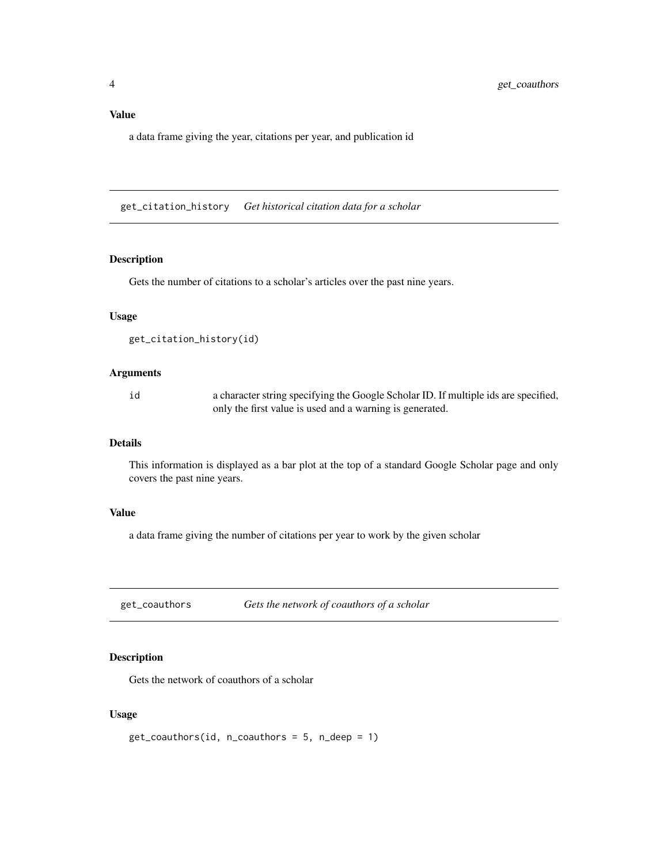#### <span id="page-3-0"></span>Value

a data frame giving the year, citations per year, and publication id

get\_citation\_history *Get historical citation data for a scholar*

#### Description

Gets the number of citations to a scholar's articles over the past nine years.

#### Usage

```
get_citation_history(id)
```
#### Arguments

id a character string specifying the Google Scholar ID. If multiple ids are specified, only the first value is used and a warning is generated.

#### Details

This information is displayed as a bar plot at the top of a standard Google Scholar page and only covers the past nine years.

#### Value

a data frame giving the number of citations per year to work by the given scholar

<span id="page-3-1"></span>get\_coauthors *Gets the network of coauthors of a scholar*

#### Description

Gets the network of coauthors of a scholar

#### Usage

```
get\_coauthors(id, n\_coauthors = 5, n\_deep = 1)
```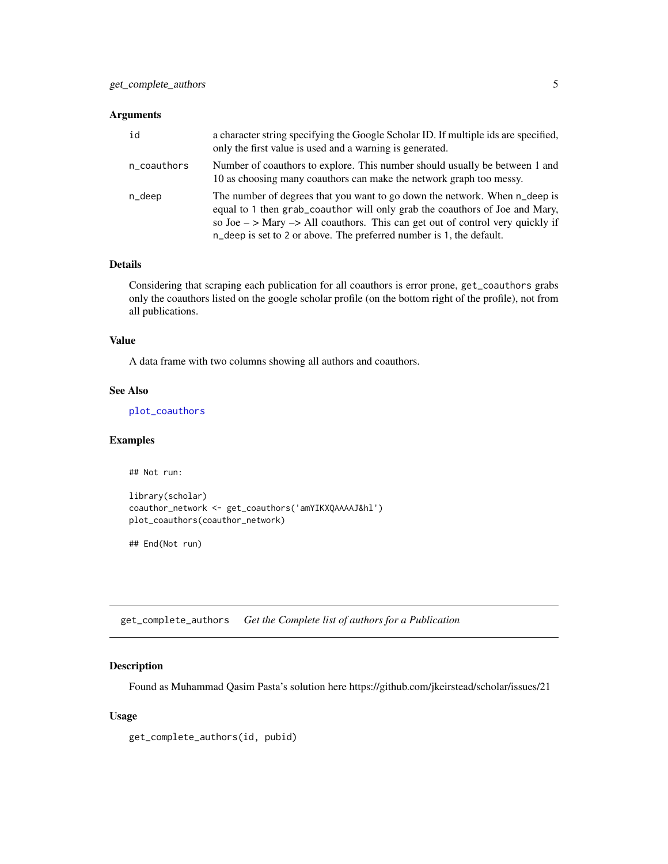#### <span id="page-4-0"></span>Arguments

| id          | a character string specifying the Google Scholar ID. If multiple ids are specified,<br>only the first value is used and a warning is generated.                                                                                                                                                                                         |
|-------------|-----------------------------------------------------------------------------------------------------------------------------------------------------------------------------------------------------------------------------------------------------------------------------------------------------------------------------------------|
| n_coauthors | Number of coauthors to explore. This number should usually be between 1 and<br>10 as choosing many coauthors can make the network graph too messy.                                                                                                                                                                                      |
| n_deep      | The number of degrees that you want to go down the network. When n_deep is<br>equal to 1 then grab_coauthor will only grab the coauthors of Joe and Mary,<br>so Joe $\rightarrow$ Mary $\rightarrow$ All coauthors. This can get out of control very quickly if<br>n_deep is set to 2 or above. The preferred number is 1, the default. |

#### Details

Considering that scraping each publication for all coauthors is error prone, get\_coauthors grabs only the coauthors listed on the google scholar profile (on the bottom right of the profile), not from all publications.

#### Value

A data frame with two columns showing all authors and coauthors.

#### See Also

[plot\\_coauthors](#page-9-1)

#### Examples

## Not run:

```
library(scholar)
coauthor_network <- get_coauthors('amYIKXQAAAAJ&hl')
plot_coauthors(coauthor_network)
```
## End(Not run)

get\_complete\_authors *Get the Complete list of authors for a Publication*

#### Description

Found as Muhammad Qasim Pasta's solution here https://github.com/jkeirstead/scholar/issues/21

#### Usage

get\_complete\_authors(id, pubid)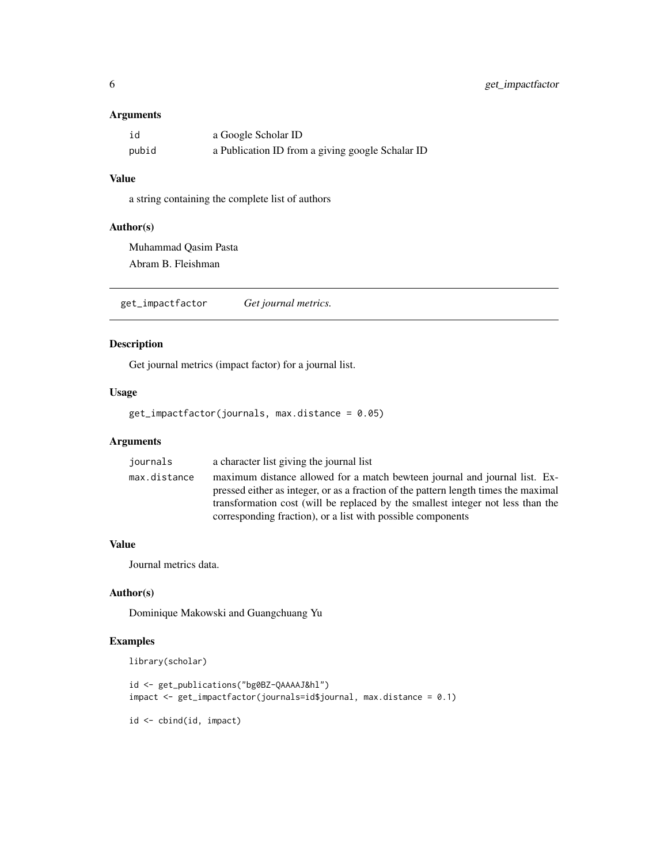#### <span id="page-5-0"></span>Arguments

| id    | a Google Scholar ID                              |
|-------|--------------------------------------------------|
| pubid | a Publication ID from a giving google Schalar ID |

#### Value

a string containing the complete list of authors

#### Author(s)

Muhammad Qasim Pasta Abram B. Fleishman

get\_impactfactor *Get journal metrics.*

#### Description

Get journal metrics (impact factor) for a journal list.

#### Usage

get\_impactfactor(journals, max.distance = 0.05)

#### Arguments

| journals     | a character list giving the journal list                                            |
|--------------|-------------------------------------------------------------------------------------|
| max.distance | maximum distance allowed for a match bewteen journal and journal list. Ex-          |
|              | pressed either as integer, or as a fraction of the pattern length times the maximal |
|              | transformation cost (will be replaced by the smallest integer not less than the     |
|              | corresponding fraction), or a list with possible components                         |

#### Value

Journal metrics data.

#### Author(s)

Dominique Makowski and Guangchuang Yu

#### Examples

```
library(scholar)
```

```
id <- get_publications("bg0BZ-QAAAAJ&hl")
impact <- get_impactfactor(journals=id$journal, max.distance = 0.1)
```
id <- cbind(id, impact)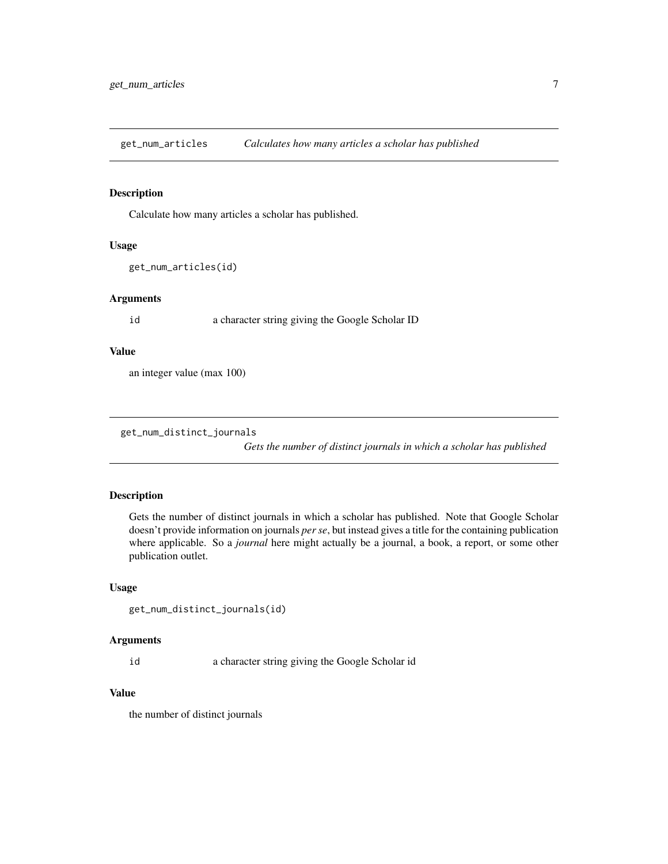<span id="page-6-0"></span>get\_num\_articles *Calculates how many articles a scholar has published*

#### Description

Calculate how many articles a scholar has published.

#### Usage

```
get_num_articles(id)
```
#### Arguments

id a character string giving the Google Scholar ID

#### Value

an integer value (max 100)

get\_num\_distinct\_journals

*Gets the number of distinct journals in which a scholar has published*

#### Description

Gets the number of distinct journals in which a scholar has published. Note that Google Scholar doesn't provide information on journals *per se*, but instead gives a title for the containing publication where applicable. So a *journal* here might actually be a journal, a book, a report, or some other publication outlet.

#### Usage

```
get_num_distinct_journals(id)
```
#### Arguments

id a character string giving the Google Scholar id

#### Value

the number of distinct journals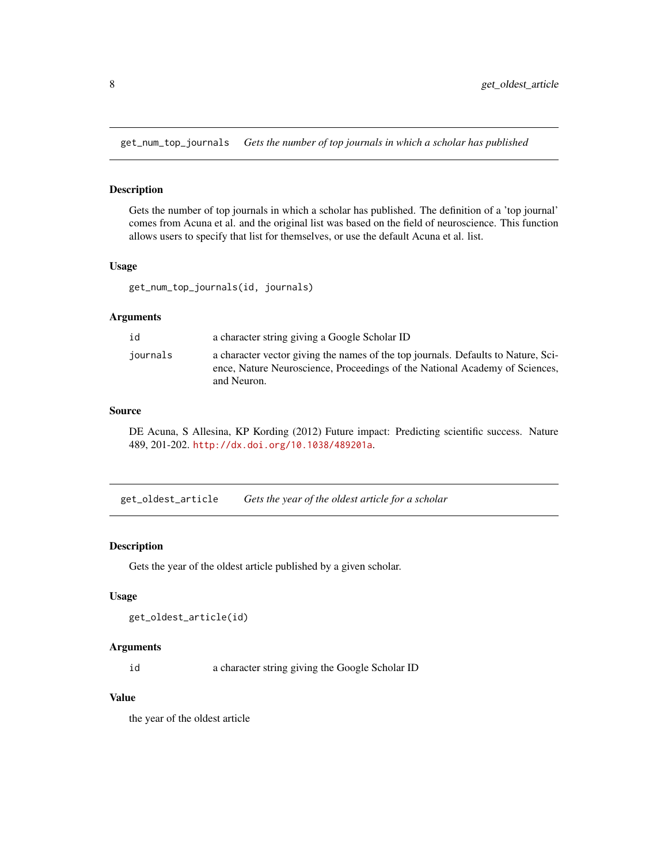<span id="page-7-1"></span><span id="page-7-0"></span>get\_num\_top\_journals *Gets the number of top journals in which a scholar has published*

#### Description

Gets the number of top journals in which a scholar has published. The definition of a 'top journal' comes from Acuna et al. and the original list was based on the field of neuroscience. This function allows users to specify that list for themselves, or use the default Acuna et al. list.

#### Usage

get\_num\_top\_journals(id, journals)

#### **Arguments**

| id       | a character string giving a Google Scholar ID                                                                                                                                   |
|----------|---------------------------------------------------------------------------------------------------------------------------------------------------------------------------------|
| journals | a character vector giving the names of the top journals. Defaults to Nature, Sci-<br>ence, Nature Neuroscience, Proceedings of the National Academy of Sciences,<br>and Neuron. |

#### Source

DE Acuna, S Allesina, KP Kording (2012) Future impact: Predicting scientific success. Nature 489, 201-202. <http://dx.doi.org/10.1038/489201a>.

get\_oldest\_article *Gets the year of the oldest article for a scholar*

#### Description

Gets the year of the oldest article published by a given scholar.

#### Usage

```
get_oldest_article(id)
```
#### Arguments

id a character string giving the Google Scholar ID

#### Value

the year of the oldest article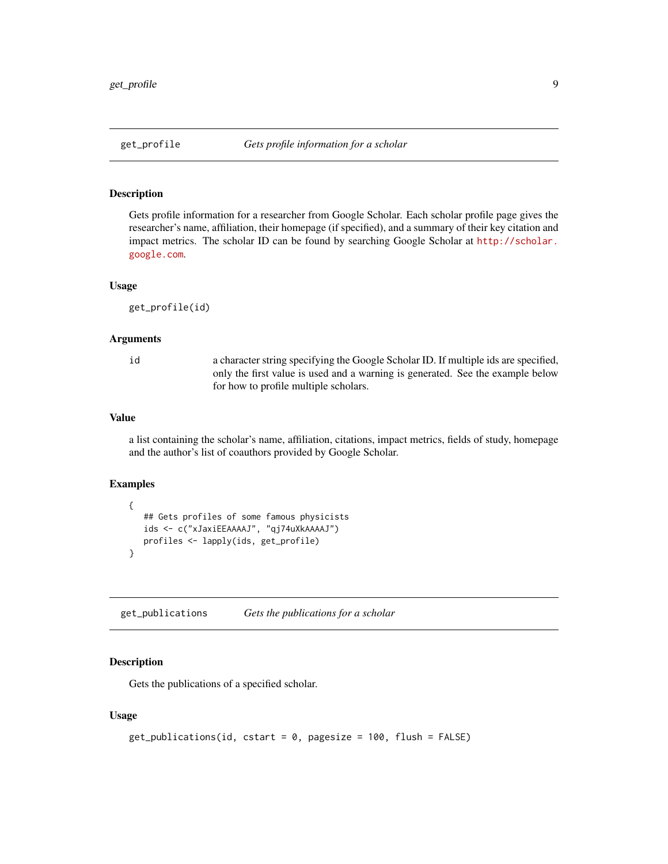#### <span id="page-8-0"></span>Description

Gets profile information for a researcher from Google Scholar. Each scholar profile page gives the researcher's name, affiliation, their homepage (if specified), and a summary of their key citation and impact metrics. The scholar ID can be found by searching Google Scholar at [http://scholar.](http://scholar.google.com) [google.com](http://scholar.google.com).

#### Usage

get\_profile(id)

#### Arguments

id a character string specifying the Google Scholar ID. If multiple ids are specified, only the first value is used and a warning is generated. See the example below for how to profile multiple scholars.

#### Value

a list containing the scholar's name, affiliation, citations, impact metrics, fields of study, homepage and the author's list of coauthors provided by Google Scholar.

#### Examples

```
{
   ## Gets profiles of some famous physicists
   ids <- c("xJaxiEEAAAAJ", "qj74uXkAAAAJ")
   profiles <- lapply(ids, get_profile)
}
```
get\_publications *Gets the publications for a scholar*

#### Description

Gets the publications of a specified scholar.

#### Usage

```
get\_publications(id, cstart = 0, pagesize = 100, flush = FALSE)
```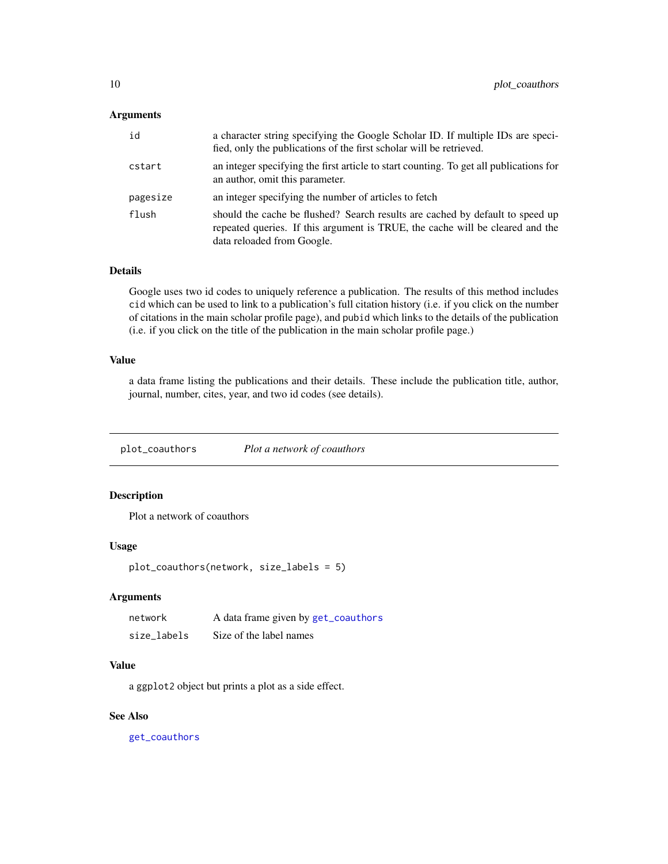#### <span id="page-9-0"></span>Arguments

| id       | a character string specifying the Google Scholar ID. If multiple IDs are speci-<br>fied, only the publications of the first scholar will be retrieved.                                       |
|----------|----------------------------------------------------------------------------------------------------------------------------------------------------------------------------------------------|
| cstart   | an integer specifying the first article to start counting. To get all publications for<br>an author, omit this parameter.                                                                    |
| pagesize | an integer specifying the number of articles to fetch                                                                                                                                        |
| flush    | should the cache be flushed? Search results are cached by default to speed up<br>repeated queries. If this argument is TRUE, the cache will be cleared and the<br>data reloaded from Google. |

#### Details

Google uses two id codes to uniquely reference a publication. The results of this method includes cid which can be used to link to a publication's full citation history (i.e. if you click on the number of citations in the main scholar profile page), and pubid which links to the details of the publication (i.e. if you click on the title of the publication in the main scholar profile page.)

#### Value

a data frame listing the publications and their details. These include the publication title, author, journal, number, cites, year, and two id codes (see details).

<span id="page-9-1"></span>plot\_coauthors *Plot a network of coauthors*

#### Description

Plot a network of coauthors

#### Usage

```
plot_coauthors(network, size_labels = 5)
```
#### Arguments

| network     | A data frame given by get_coauthors |
|-------------|-------------------------------------|
| size labels | Size of the label names             |

#### Value

a ggplot2 object but prints a plot as a side effect.

#### See Also

[get\\_coauthors](#page-3-1)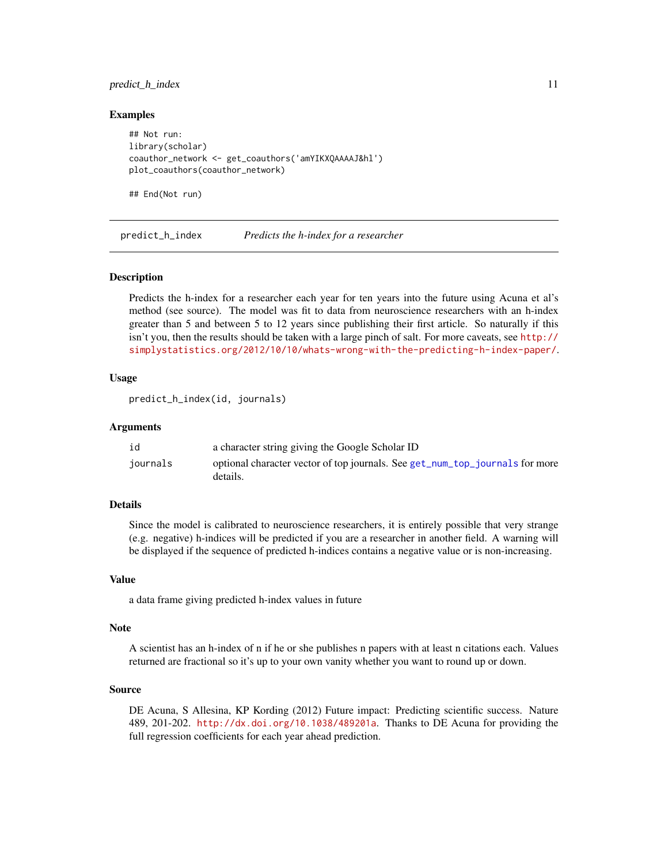#### <span id="page-10-0"></span>predict\_h\_index 11

#### Examples

## Not run: library(scholar) coauthor\_network <- get\_coauthors('amYIKXQAAAAJ&hl') plot\_coauthors(coauthor\_network)

## End(Not run)

predict\_h\_index *Predicts the h-index for a researcher*

#### **Description**

Predicts the h-index for a researcher each year for ten years into the future using Acuna et al's method (see source). The model was fit to data from neuroscience researchers with an h-index greater than 5 and between 5 to 12 years since publishing their first article. So naturally if this isn't you, then the results should be taken with a large pinch of salt. For more caveats, see [http://](http://simplystatistics.org/2012/10/10/whats-wrong-with-the-predicting-h-index-paper/) [simplystatistics.org/2012/10/10/whats-wrong-with-the-predicting-h-index-paper/](http://simplystatistics.org/2012/10/10/whats-wrong-with-the-predicting-h-index-paper/).

#### Usage

```
predict_h_index(id, journals)
```
#### Arguments

| id       | a character string giving the Google Scholar ID                                          |
|----------|------------------------------------------------------------------------------------------|
| journals | optional character vector of top journals. See get_num_top_journals for more<br>details. |

#### Details

Since the model is calibrated to neuroscience researchers, it is entirely possible that very strange (e.g. negative) h-indices will be predicted if you are a researcher in another field. A warning will be displayed if the sequence of predicted h-indices contains a negative value or is non-increasing.

#### Value

a data frame giving predicted h-index values in future

#### Note

A scientist has an h-index of n if he or she publishes n papers with at least n citations each. Values returned are fractional so it's up to your own vanity whether you want to round up or down.

#### Source

DE Acuna, S Allesina, KP Kording (2012) Future impact: Predicting scientific success. Nature 489, 201-202. <http://dx.doi.org/10.1038/489201a>. Thanks to DE Acuna for providing the full regression coefficients for each year ahead prediction.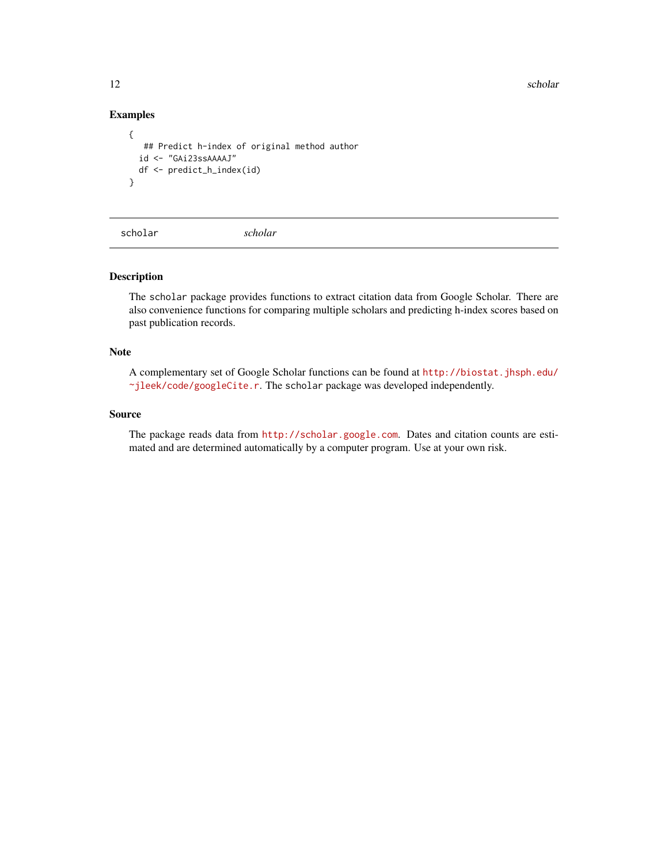12 scholar scholar scholar scholar scholar scholar scholar scholar scholar scholar scholar scholar scholar scholar

#### Examples

```
{
   ## Predict h-index of original method author
  id <- "GAi23ssAAAAJ"
 df <- predict_h_index(id)
}
```
scholar *scholar*

#### Description

The scholar package provides functions to extract citation data from Google Scholar. There are also convenience functions for comparing multiple scholars and predicting h-index scores based on past publication records.

#### **Note**

A complementary set of Google Scholar functions can be found at [http://biostat.jhsph.edu/](http://biostat.jhsph.edu/~jleek/code/googleCite.r) [~jleek/code/googleCite.r](http://biostat.jhsph.edu/~jleek/code/googleCite.r). The scholar package was developed independently.

#### Source

The package reads data from <http://scholar.google.com>. Dates and citation counts are estimated and are determined automatically by a computer program. Use at your own risk.

<span id="page-11-0"></span>